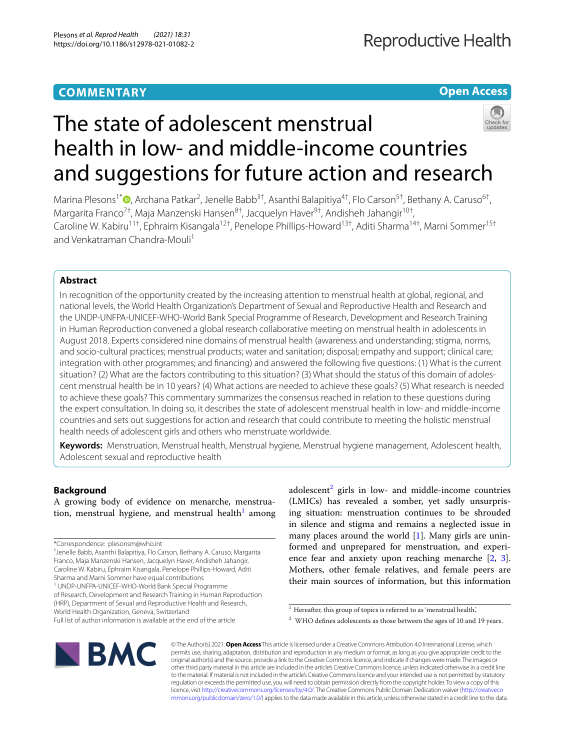# **COMMENTARY**

**Open Access**

# The state of adolescent menstrual health in low- and middle-income countries and suggestions for future action and research

Marina Plesons<sup>1[\\*](http://orcid.org/0000-0003-3224-618X)</sup><sup>®</sup>, Archana Patkar<sup>2</sup>, Jenelle Babb<sup>3†</sup>, Asanthi Balapitiya<sup>4†</sup>, Flo Carson<sup>5†</sup>, Bethany A. Caruso<sup>6†</sup>, Margarita Franco<sup>7†</sup>, Maja Manzenski Hansen<sup>8†</sup>, Jacquelyn Haver<sup>9†</sup>, Andisheh Jahangir<sup>10†</sup>, Caroline W. Kabiru<sup>11†</sup>, Ephraim Kisangala<sup>12†</sup>, Penelope Phillips-Howard<sup>13†</sup>, Aditi Sharma<sup>14†</sup>, Marni Sommer<sup>15†</sup> and Venkatraman Chandra-Mouli<sup>1</sup>

# **Abstract**

In recognition of the opportunity created by the increasing attention to menstrual health at global, regional, and national levels, the World Health Organization's Department of Sexual and Reproductive Health and Research and the UNDP-UNFPA-UNICEF-WHO-World Bank Special Programme of Research, Development and Research Training in Human Reproduction convened a global research collaborative meeting on menstrual health in adolescents in August 2018. Experts considered nine domains of menstrual health (awareness and understanding; stigma, norms, and socio-cultural practices; menstrual products; water and sanitation; disposal; empathy and support; clinical care; integration with other programmes; and fnancing) and answered the following fve questions: (1) What is the current situation? (2) What are the factors contributing to this situation? (3) What should the status of this domain of adolescent menstrual health be in 10 years? (4) What actions are needed to achieve these goals? (5) What research is needed to achieve these goals? This commentary summarizes the consensus reached in relation to these questions during the expert consultation. In doing so, it describes the state of adolescent menstrual health in low- and middle-income countries and sets out suggestions for action and research that could contribute to meeting the holistic menstrual health needs of adolescent girls and others who menstruate worldwide.

**Keywords:** Menstruation, Menstrual health, Menstrual hygiene, Menstrual hygiene management, Adolescent health, Adolescent sexual and reproductive health

# **Background**

A growing body of evidence on menarche, menstrua-tion, menstrual hygiene, and menstrual health<sup>[1](#page-0-0)</sup> among

adolescent<sup>[2](#page-0-1)</sup> girls in low- and middle-income countries (LMICs) has revealed a somber, yet sadly unsurprising situation: menstruation continues to be shrouded in silence and stigma and remains a neglected issue in many places around the world [[1](#page-10-0)]. Many girls are uninformed and unprepared for menstruation, and experience fear and anxiety upon reaching menarche [\[2](#page-10-1), [3](#page-10-2)]. Mothers, other female relatives, and female peers are their main sources of information, but this information



© The Author(s) 2021. **Open Access** This article is licensed under a Creative Commons Attribution 4.0 International License, which permits use, sharing, adaptation, distribution and reproduction in any medium or format, as long as you give appropriate credit to the original author(s) and the source, provide a link to the Creative Commons licence, and indicate if changes were made. The images or other third party material in this article are included in the article's Creative Commons licence, unless indicated otherwise in a credit line to the material. If material is not included in the article's Creative Commons licence and your intended use is not permitted by statutory regulation or exceeds the permitted use, you will need to obtain permission directly from the copyright holder. To view a copy of this licence, visit [http://creativecommons.org/licenses/by/4.0/.](http://creativecommons.org/licenses/by/4.0/) The Creative Commons Public Domain Dedication waiver ([http://creativeco](http://creativecommons.org/publicdomain/zero/1.0/) [mmons.org/publicdomain/zero/1.0/](http://creativecommons.org/publicdomain/zero/1.0/)) applies to the data made available in this article, unless otherwise stated in a credit line to the data.

<sup>\*</sup>Correspondence: plesonsm@who.int

<sup>†</sup> Jenelle Babb, Asanthi Balapitiya, Flo Carson, Bethany A. Caruso, Margarita Franco, Maja Manzenski Hansen, Jacquelyn Haver, Andisheh Jahangir, Caroline W. Kabiru, Ephraim Kisangala, Penelope Phillips-Howard, Aditi Sharma and Marni Sommer have equal contributions

<sup>&</sup>lt;sup>1</sup> UNDP-UNFPA-UNICEF-WHO-World Bank Special Programme of Research, Development and Research Training in Human Reproduction (HRP), Department of Sexual and Reproductive Health and Research, World Health Organization, Geneva, Switzerland

Full list of author information is available at the end of the article

<span id="page-0-0"></span> $1$  Hereafter, this group of topics is referred to as 'menstrual health.'

<span id="page-0-1"></span> $2$  WHO defines adolescents as those between the ages of 10 and 19 years.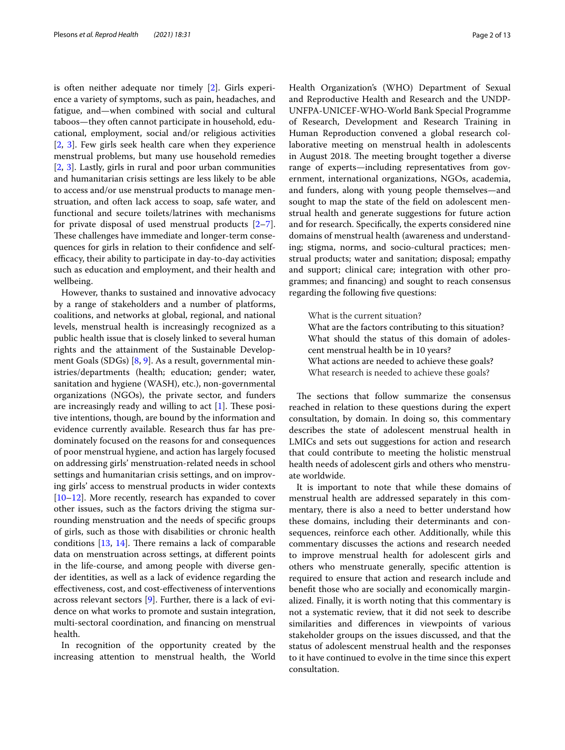is often neither adequate nor timely [[2\]](#page-10-1). Girls experience a variety of symptoms, such as pain, headaches, and fatigue, and—when combined with social and cultural taboos—they often cannot participate in household, educational, employment, social and/or religious activities [[2,](#page-10-1) [3\]](#page-10-2). Few girls seek health care when they experience menstrual problems, but many use household remedies [[2,](#page-10-1) [3](#page-10-2)]. Lastly, girls in rural and poor urban communities and humanitarian crisis settings are less likely to be able to access and/or use menstrual products to manage menstruation, and often lack access to soap, safe water, and functional and secure toilets/latrines with mechanisms for private disposal of used menstrual products  $[2-7]$  $[2-7]$ . These challenges have immediate and longer-term consequences for girls in relation to their confdence and selfefficacy, their ability to participate in day-to-day activities such as education and employment, and their health and wellbeing.

However, thanks to sustained and innovative advocacy by a range of stakeholders and a number of platforms, coalitions, and networks at global, regional, and national levels, menstrual health is increasingly recognized as a public health issue that is closely linked to several human rights and the attainment of the Sustainable Development Goals (SDGs) [[8,](#page-11-0) [9](#page-11-1)]. As a result, governmental ministries/departments (health; education; gender; water, sanitation and hygiene (WASH), etc.), non-governmental organizations (NGOs), the private sector, and funders are increasingly ready and willing to act  $[1]$  $[1]$ . These positive intentions, though, are bound by the information and evidence currently available. Research thus far has predominately focused on the reasons for and consequences of poor menstrual hygiene, and action has largely focused on addressing girls' menstruation-related needs in school settings and humanitarian crisis settings, and on improving girls' access to menstrual products in wider contexts [[10–](#page-11-2)[12](#page-11-3)]. More recently, research has expanded to cover other issues, such as the factors driving the stigma surrounding menstruation and the needs of specifc groups of girls, such as those with disabilities or chronic health conditions  $[13, 14]$  $[13, 14]$  $[13, 14]$ . There remains a lack of comparable data on menstruation across settings, at diferent points in the life-course, and among people with diverse gender identities, as well as a lack of evidence regarding the efectiveness, cost, and cost-efectiveness of interventions across relevant sectors [[9\]](#page-11-1). Further, there is a lack of evidence on what works to promote and sustain integration, multi-sectoral coordination, and fnancing on menstrual health.

In recognition of the opportunity created by the increasing attention to menstrual health, the World Health Organization's (WHO) Department of Sexual and Reproductive Health and Research and the UNDP-UNFPA-UNICEF-WHO-World Bank Special Programme of Research, Development and Research Training in Human Reproduction convened a global research collaborative meeting on menstrual health in adolescents in August 2018. The meeting brought together a diverse range of experts—including representatives from government, international organizations, NGOs, academia, and funders, along with young people themselves—and sought to map the state of the feld on adolescent menstrual health and generate suggestions for future action and for research. Specifcally, the experts considered nine domains of menstrual health (awareness and understanding; stigma, norms, and socio-cultural practices; menstrual products; water and sanitation; disposal; empathy and support; clinical care; integration with other programmes; and fnancing) and sought to reach consensus regarding the following fve questions:

What is the current situation? What are the factors contributing to this situation? What should the status of this domain of adolescent menstrual health be in 10 years? What actions are needed to achieve these goals? What research is needed to achieve these goals?

The sections that follow summarize the consensus reached in relation to these questions during the expert consultation, by domain. In doing so, this commentary describes the state of adolescent menstrual health in LMICs and sets out suggestions for action and research that could contribute to meeting the holistic menstrual health needs of adolescent girls and others who menstruate worldwide.

It is important to note that while these domains of menstrual health are addressed separately in this commentary, there is also a need to better understand how these domains, including their determinants and consequences, reinforce each other. Additionally, while this commentary discusses the actions and research needed to improve menstrual health for adolescent girls and others who menstruate generally, specifc attention is required to ensure that action and research include and beneft those who are socially and economically marginalized. Finally, it is worth noting that this commentary is not a systematic review, that it did not seek to describe similarities and diferences in viewpoints of various stakeholder groups on the issues discussed, and that the status of adolescent menstrual health and the responses to it have continued to evolve in the time since this expert consultation.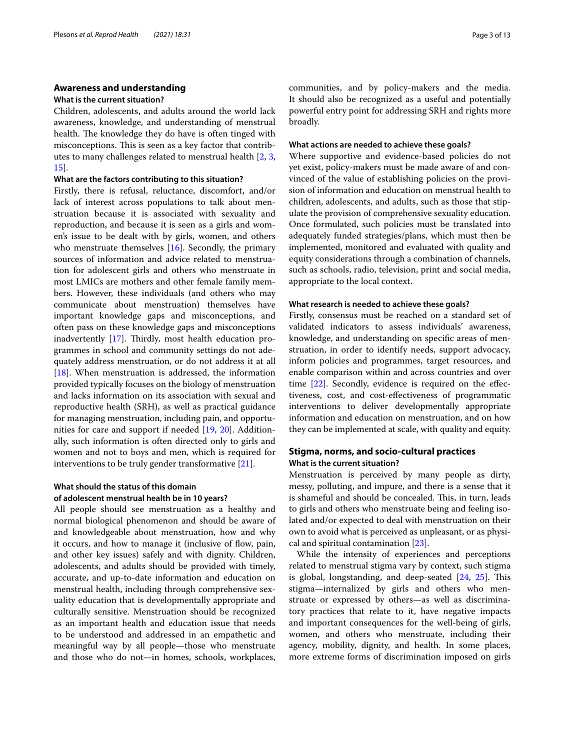#### **Awareness and understanding**

#### **What is the current situation?**

Children, adolescents, and adults around the world lack awareness, knowledge, and understanding of menstrual health. The knowledge they do have is often tinged with misconceptions. This is seen as a key factor that contributes to many challenges related to menstrual health [[2,](#page-10-1) [3](#page-10-2), [15\]](#page-11-6).

# **What are the factors contributing to this situation?**

Firstly, there is refusal, reluctance, discomfort, and/or lack of interest across populations to talk about menstruation because it is associated with sexuality and reproduction, and because it is seen as a girls and women's issue to be dealt with by girls, women, and others who menstruate themselves [[16](#page-11-7)]. Secondly, the primary sources of information and advice related to menstruation for adolescent girls and others who menstruate in most LMICs are mothers and other female family members. However, these individuals (and others who may communicate about menstruation) themselves have important knowledge gaps and misconceptions, and often pass on these knowledge gaps and misconceptions inadvertently  $[17]$ . Thirdly, most health education programmes in school and community settings do not adequately address menstruation, or do not address it at all [[18\]](#page-11-9). When menstruation is addressed, the information provided typically focuses on the biology of menstruation and lacks information on its association with sexual and reproductive health (SRH), as well as practical guidance for managing menstruation, including pain, and opportunities for care and support if needed [[19](#page-11-10), [20\]](#page-11-11). Additionally, such information is often directed only to girls and women and not to boys and men, which is required for interventions to be truly gender transformative [[21\]](#page-11-12).

# **What should the status of this domain of adolescent menstrual health be in 10 years?**

All people should see menstruation as a healthy and normal biological phenomenon and should be aware of and knowledgeable about menstruation, how and why it occurs, and how to manage it (inclusive of flow, pain, and other key issues) safely and with dignity. Children, adolescents, and adults should be provided with timely, accurate, and up-to-date information and education on menstrual health, including through comprehensive sexuality education that is developmentally appropriate and culturally sensitive. Menstruation should be recognized as an important health and education issue that needs to be understood and addressed in an empathetic and meaningful way by all people—those who menstruate and those who do not—in homes, schools, workplaces, communities, and by policy-makers and the media. It should also be recognized as a useful and potentially powerful entry point for addressing SRH and rights more broadly.

# **What actions are needed to achieve these goals?**

Where supportive and evidence-based policies do not yet exist, policy-makers must be made aware of and convinced of the value of establishing policies on the provision of information and education on menstrual health to children, adolescents, and adults, such as those that stipulate the provision of comprehensive sexuality education. Once formulated, such policies must be translated into adequately funded strategies/plans, which must then be implemented, monitored and evaluated with quality and equity considerations through a combination of channels, such as schools, radio, television, print and social media, appropriate to the local context.

#### **What research is needed to achieve these goals?**

Firstly, consensus must be reached on a standard set of validated indicators to assess individuals' awareness, knowledge, and understanding on specifc areas of menstruation, in order to identify needs, support advocacy, inform policies and programmes, target resources, and enable comparison within and across countries and over time [[22\]](#page-11-13). Secondly, evidence is required on the effectiveness, cost, and cost-efectiveness of programmatic interventions to deliver developmentally appropriate information and education on menstruation, and on how they can be implemented at scale, with quality and equity.

# **Stigma, norms, and socio‑cultural practices What is the current situation?**

Menstruation is perceived by many people as dirty, messy, polluting, and impure, and there is a sense that it is shameful and should be concealed. This, in turn, leads to girls and others who menstruate being and feeling isolated and/or expected to deal with menstruation on their own to avoid what is perceived as unpleasant, or as physical and spiritual contamination [\[23](#page-11-14)].

While the intensity of experiences and perceptions related to menstrual stigma vary by context, such stigma is global, longstanding, and deep-seated  $[24, 25]$  $[24, 25]$  $[24, 25]$  $[24, 25]$  $[24, 25]$ . This stigma—internalized by girls and others who menstruate or expressed by others—as well as discriminatory practices that relate to it, have negative impacts and important consequences for the well-being of girls, women, and others who menstruate, including their agency, mobility, dignity, and health. In some places, more extreme forms of discrimination imposed on girls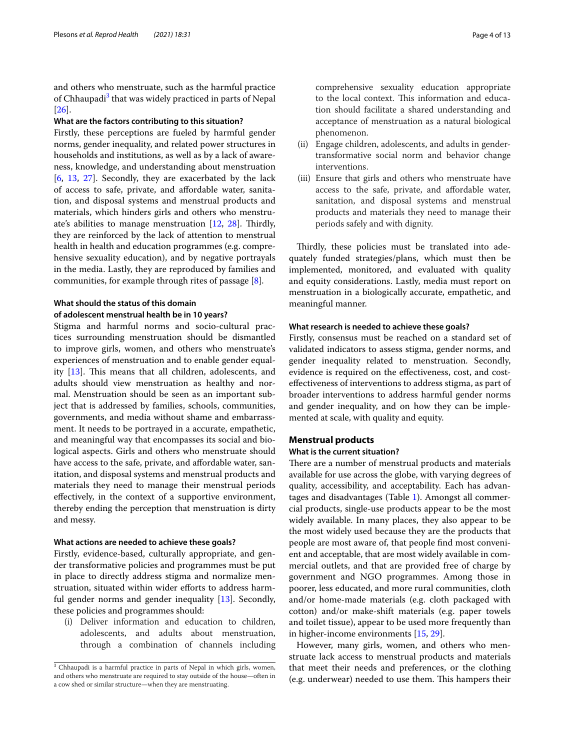and others who menstruate, such as the harmful practice of Chhaupadi<sup>[3](#page-3-0)</sup> that was widely practiced in parts of Nepal [[26\]](#page-11-17).

#### **What are the factors contributing to this situation?**

Firstly, these perceptions are fueled by harmful gender norms, gender inequality, and related power structures in households and institutions, as well as by a lack of awareness, knowledge, and understanding about menstruation [[6,](#page-10-4) [13](#page-11-4), [27\]](#page-11-18). Secondly, they are exacerbated by the lack of access to safe, private, and afordable water, sanitation, and disposal systems and menstrual products and materials, which hinders girls and others who menstruate's abilities to manage menstruation  $[12, 28]$  $[12, 28]$  $[12, 28]$  $[12, 28]$ . Thirdly, they are reinforced by the lack of attention to menstrual health in health and education programmes (e.g. comprehensive sexuality education), and by negative portrayals in the media. Lastly, they are reproduced by families and communities, for example through rites of passage [[8\]](#page-11-0).

### **What should the status of this domain**

### **of adolescent menstrual health be in 10 years?**

Stigma and harmful norms and socio-cultural practices surrounding menstruation should be dismantled to improve girls, women, and others who menstruate's experiences of menstruation and to enable gender equality  $[13]$  $[13]$  $[13]$ . This means that all children, adolescents, and adults should view menstruation as healthy and normal. Menstruation should be seen as an important subject that is addressed by families, schools, communities, governments, and media without shame and embarrassment. It needs to be portrayed in a accurate, empathetic, and meaningful way that encompasses its social and biological aspects. Girls and others who menstruate should have access to the safe, private, and affordable water, sanitation, and disposal systems and menstrual products and materials they need to manage their menstrual periods efectively, in the context of a supportive environment, thereby ending the perception that menstruation is dirty and messy.

#### **What actions are needed to achieve these goals?**

Firstly, evidence-based, culturally appropriate, and gender transformative policies and programmes must be put in place to directly address stigma and normalize menstruation, situated within wider efforts to address harmful gender norms and gender inequality [[13](#page-11-4)]. Secondly, these policies and programmes should:

(i) Deliver information and education to children, adolescents, and adults about menstruation, through a combination of channels including comprehensive sexuality education appropriate to the local context. This information and education should facilitate a shared understanding and acceptance of menstruation as a natural biological phenomenon.

- (ii) Engage children, adolescents, and adults in gendertransformative social norm and behavior change interventions.
- (iii) Ensure that girls and others who menstruate have access to the safe, private, and affordable water, sanitation, and disposal systems and menstrual products and materials they need to manage their periods safely and with dignity.

Thirdly, these policies must be translated into adequately funded strategies/plans, which must then be implemented, monitored, and evaluated with quality and equity considerations. Lastly, media must report on menstruation in a biologically accurate, empathetic, and meaningful manner.

#### **What research is needed to achieve these goals?**

Firstly, consensus must be reached on a standard set of validated indicators to assess stigma, gender norms, and gender inequality related to menstruation. Secondly, evidence is required on the efectiveness, cost, and costefectiveness of interventions to address stigma, as part of broader interventions to address harmful gender norms and gender inequality, and on how they can be implemented at scale, with quality and equity.

### **Menstrual products**

#### **What is the current situation?**

There are a number of menstrual products and materials available for use across the globe, with varying degrees of quality, accessibility, and acceptability. Each has advantages and disadvantages (Table [1\)](#page-4-0). Amongst all commercial products, single-use products appear to be the most widely available. In many places, they also appear to be the most widely used because they are the products that people are most aware of, that people fnd most convenient and acceptable, that are most widely available in commercial outlets, and that are provided free of charge by government and NGO programmes. Among those in poorer, less educated, and more rural communities, cloth and/or home-made materials (e.g. cloth packaged with cotton) and/or make-shift materials (e.g. paper towels and toilet tissue), appear to be used more frequently than in higher-income environments [\[15](#page-11-6), [29\]](#page-11-20).

However, many girls, women, and others who menstruate lack access to menstrual products and materials that meet their needs and preferences, or the clothing (e.g. underwear) needed to use them. This hampers their

<span id="page-3-0"></span><sup>&</sup>lt;sup>3</sup> Chhaupadi is a harmful practice in parts of Nepal in which girls, women, and others who menstruate are required to stay outside of the house—often in a cow shed or similar structure—when they are menstruating.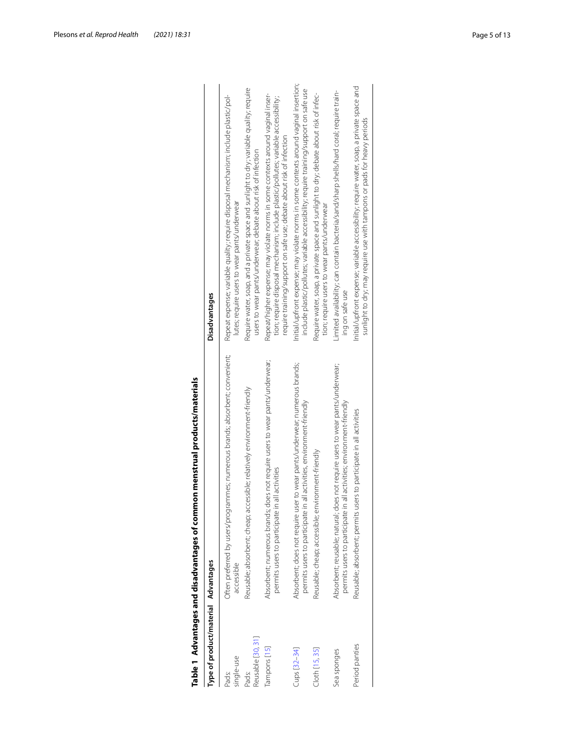<span id="page-4-0"></span>

| Type of product/material Advantages |                                                                                                                                                       | <b>Disadvantages</b>                                                                                                                                                                                                                           |
|-------------------------------------|-------------------------------------------------------------------------------------------------------------------------------------------------------|------------------------------------------------------------------------------------------------------------------------------------------------------------------------------------------------------------------------------------------------|
| single-use<br>Pads:                 | Often preferred by users/programmes; numerous brands; absorbent; convenient;<br>accessible                                                            | Repeat expense; variable quality; require disposal mechanism; include plastic/pol-<br>lutes; require users to wear pants/underwear                                                                                                             |
| Reusable [30, 31]<br>Pads:          | Reusable; absorbent; cheap; accessible; relatively environment-friendly                                                                               | Require water, soap, and a private space and sunlight to dry; variable quality; require<br>users to wear pants/underwear; debate about risk of infection                                                                                       |
| Tampons [15]                        | does not require users to wear pants/underwear;<br>permits users to participate in all activities<br>Absorbent; numerous brands;                      | Repeat/higher expense; may violate norms in some contexts around vaginal inser-<br>tion; require disposal mechanism; include plastic/pollutes; variable accessibility;<br>require training/support on safe use; debate about risk of infection |
| Cups [32-34]                        | Absorbent; does not require user to wear pants/underwear; numerous brands;<br>permits users to participate in all activities, environment-friendly    | Initial/upfront expense; may violate norms in some contexts around vaginal insertion;<br>include plastic/pollutes; variable accessibility; require training/support on safe use                                                                |
| Cloth [15, 35]                      | Reusable; cheap; accessible; environment-friendly                                                                                                     | Require water, soap, a private space and sunlight to dry; debate about risk of infec-<br>tion; require users to wear pants/underwear                                                                                                           |
| Sea sponges                         | Absorbent; reusable; natural; does not require users to wear pants/underwear;<br>permits users to participate in all activities; environment-friendly | Limited availability; can contain bacteria/sand/sharp shells/hard coral; require train-<br>ing on safe use                                                                                                                                     |
| Period panties                      | Reusable; absorbent; permits users to participate in all activities                                                                                   | Initial/upfront expense; variable accessibility; require water, soap, a private space and<br>sunlight to dry; may require use with tampons or pads for heavy periods                                                                           |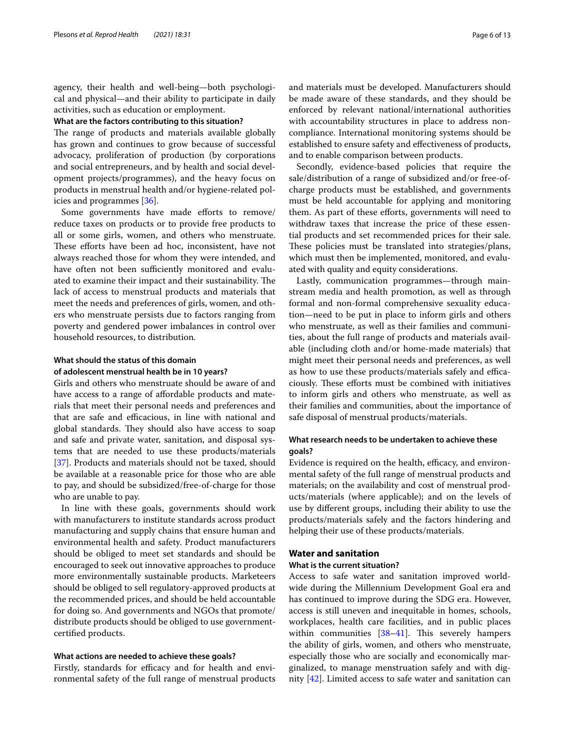agency, their health and well-being—both psychological and physical—and their ability to participate in daily activities, such as education or employment.

#### **What are the factors contributing to this situation?**

The range of products and materials available globally has grown and continues to grow because of successful advocacy, proliferation of production (by corporations and social entrepreneurs, and by health and social development projects/programmes), and the heavy focus on products in menstrual health and/or hygiene-related policies and programmes [\[36\]](#page-11-26).

Some governments have made efforts to remove/ reduce taxes on products or to provide free products to all or some girls, women, and others who menstruate. These efforts have been ad hoc, inconsistent, have not always reached those for whom they were intended, and have often not been sufficiently monitored and evaluated to examine their impact and their sustainability. The lack of access to menstrual products and materials that meet the needs and preferences of girls, women, and others who menstruate persists due to factors ranging from poverty and gendered power imbalances in control over household resources, to distribution.

# **What should the status of this domain of adolescent menstrual health be in 10 years?**

Girls and others who menstruate should be aware of and have access to a range of affordable products and materials that meet their personal needs and preferences and that are safe and efficacious, in line with national and global standards. They should also have access to soap and safe and private water, sanitation, and disposal systems that are needed to use these products/materials [[37\]](#page-11-27). Products and materials should not be taxed, should be available at a reasonable price for those who are able to pay, and should be subsidized/free-of-charge for those who are unable to pay.

In line with these goals, governments should work with manufacturers to institute standards across product manufacturing and supply chains that ensure human and environmental health and safety. Product manufacturers should be obliged to meet set standards and should be encouraged to seek out innovative approaches to produce more environmentally sustainable products. Marketeers should be obliged to sell regulatory-approved products at the recommended prices, and should be held accountable for doing so. And governments and NGOs that promote/ distribute products should be obliged to use governmentcertifed products.

# **What actions are needed to achieve these goals?**

Firstly, standards for efficacy and for health and environmental safety of the full range of menstrual products and materials must be developed. Manufacturers should be made aware of these standards, and they should be enforced by relevant national/international authorities with accountability structures in place to address noncompliance. International monitoring systems should be established to ensure safety and efectiveness of products, and to enable comparison between products.

Secondly, evidence-based policies that require the sale/distribution of a range of subsidized and/or free-ofcharge products must be established, and governments must be held accountable for applying and monitoring them. As part of these efforts, governments will need to withdraw taxes that increase the price of these essential products and set recommended prices for their sale. These policies must be translated into strategies/plans, which must then be implemented, monitored, and evaluated with quality and equity considerations.

Lastly, communication programmes—through mainstream media and health promotion, as well as through formal and non-formal comprehensive sexuality education—need to be put in place to inform girls and others who menstruate, as well as their families and communities, about the full range of products and materials available (including cloth and/or home-made materials) that might meet their personal needs and preferences, as well as how to use these products/materials safely and efficaciously. These efforts must be combined with initiatives to inform girls and others who menstruate, as well as their families and communities, about the importance of safe disposal of menstrual products/materials.

# **What research needs to be undertaken to achieve these goals?**

Evidence is required on the health, efficacy, and environmental safety of the full range of menstrual products and materials; on the availability and cost of menstrual products/materials (where applicable); and on the levels of use by diferent groups, including their ability to use the products/materials safely and the factors hindering and helping their use of these products/materials.

# **Water and sanitation**

#### **What is the current situation?**

Access to safe water and sanitation improved worldwide during the Millennium Development Goal era and has continued to improve during the SDG era. However, access is still uneven and inequitable in homes, schools, workplaces, health care facilities, and in public places within communities  $[38-41]$  $[38-41]$ . This severely hampers the ability of girls, women, and others who menstruate, especially those who are socially and economically marginalized, to manage menstruation safely and with dignity [[42](#page-11-30)]. Limited access to safe water and sanitation can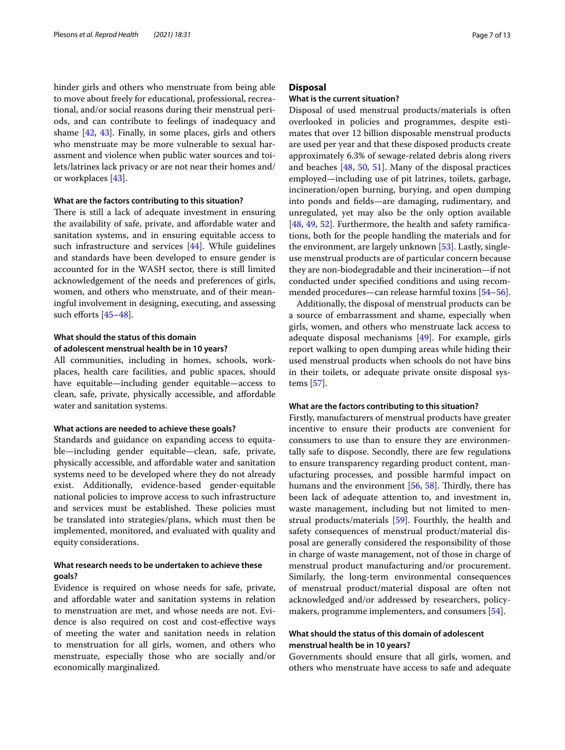hinder girls and others who menstruate from being able to move about freely for educational, professional, recreational, and/or social reasons during their menstrual periods, and can contribute to feelings of inadequacy and shame [[42,](#page-11-30) [43](#page-11-31)]. Finally, in some places, girls and others who menstruate may be more vulnerable to sexual harassment and violence when public water sources and toilets/latrines lack privacy or are not near their homes and/ or workplaces [\[43\]](#page-11-31).

#### **What are the factors contributing to this situation?**

There is still a lack of adequate investment in ensuring the availability of safe, private, and affordable water and sanitation systems, and in ensuring equitable access to such infrastructure and services [\[44](#page-11-32)]. While guidelines and standards have been developed to ensure gender is accounted for in the WASH sector, there is still limited acknowledgement of the needs and preferences of girls, women, and others who menstruate, and of their meaningful involvement in designing, executing, and assessing such efforts  $[45-48]$  $[45-48]$  $[45-48]$ .

# **What should the status of this domain of adolescent menstrual health be in 10 years?**

All communities, including in homes, schools, workplaces, health care facilities, and public spaces, should have equitable—including gender equitable—access to clean, safe, private, physically accessible, and afordable water and sanitation systems.

### **What actions are needed to achieve these goals?**

Standards and guidance on expanding access to equitable—including gender equitable—clean, safe, private, physically accessible, and afordable water and sanitation systems need to be developed where they do not already exist. Additionally, evidence-based gender-equitable national policies to improve access to such infrastructure and services must be established. These policies must be translated into strategies/plans, which must then be implemented, monitored, and evaluated with quality and equity considerations.

# **What research needs to be undertaken to achieve these goals?**

Evidence is required on whose needs for safe, private, and afordable water and sanitation systems in relation to menstruation are met, and whose needs are not. Evidence is also required on cost and cost-efective ways of meeting the water and sanitation needs in relation to menstruation for all girls, women, and others who menstruate, especially those who are socially and/or economically marginalized.

# **Disposal**

#### **What is the current situation?**

Disposal of used menstrual products/materials is often overlooked in policies and programmes, despite estimates that over 12 billion disposable menstrual products are used per year and that these disposed products create approximately 6.3% of sewage-related debris along rivers and beaches [\[48,](#page-11-34) [50](#page-11-35), [51\]](#page-11-36). Many of the disposal practices employed—including use of pit latrines, toilets, garbage, incineration/open burning, burying, and open dumping into ponds and felds—are damaging, rudimentary, and unregulated, yet may also be the only option available [[48,](#page-11-34) [49,](#page-11-37) [52](#page-11-38)]. Furthermore, the health and safety ramifications, both for the people handling the materials and for the environment, are largely unknown [[53](#page-11-39)]. Lastly, singleuse menstrual products are of particular concern because they are non-biodegradable and their incineration—if not conducted under specifed conditions and using recommended procedures—can release harmful toxins [[54](#page-11-40)[–56](#page-12-0)].

Additionally, the disposal of menstrual products can be a source of embarrassment and shame, especially when girls, women, and others who menstruate lack access to adequate disposal mechanisms [\[49](#page-11-37)]. For example, girls report walking to open dumping areas while hiding their used menstrual products when schools do not have bins in their toilets, or adequate private onsite disposal systems [[57\]](#page-12-1).

#### **What are the factors contributing to this situation?**

Firstly, manufacturers of menstrual products have greater incentive to ensure their products are convenient for consumers to use than to ensure they are environmentally safe to dispose. Secondly, there are few regulations to ensure transparency regarding product content, manufacturing processes, and possible harmful impact on humans and the environment  $[56, 58]$  $[56, 58]$  $[56, 58]$  $[56, 58]$ . Thirdly, there has been lack of adequate attention to, and investment in, waste management, including but not limited to menstrual products/materials [[59\]](#page-12-3). Fourthly, the health and safety consequences of menstrual product/material disposal are generally considered the responsibility of those in charge of waste management, not of those in charge of menstrual product manufacturing and/or procurement. Similarly, the long-term environmental consequences of menstrual product/material disposal are often not acknowledged and/or addressed by researchers, policymakers, programme implementers, and consumers [[54\]](#page-11-40).

# **What should the status of this domain of adolescent menstrual health be in 10 years?**

Governments should ensure that all girls, women, and others who menstruate have access to safe and adequate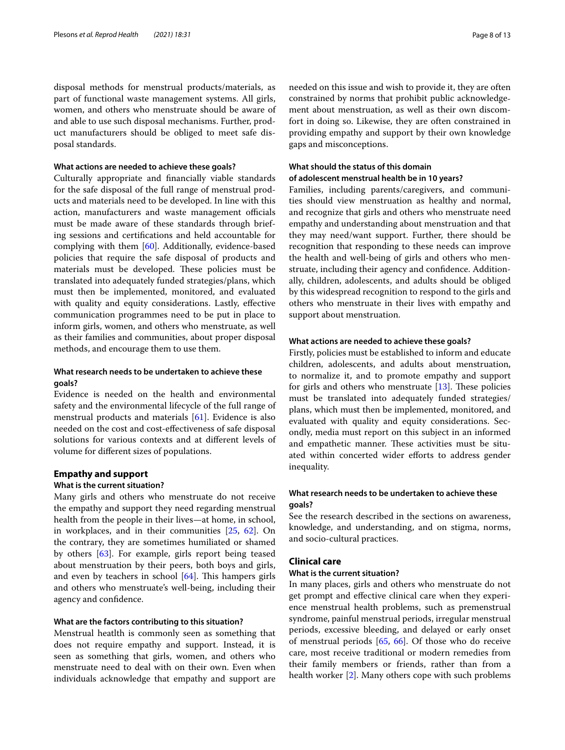disposal methods for menstrual products/materials, as part of functional waste management systems. All girls, women, and others who menstruate should be aware of and able to use such disposal mechanisms. Further, product manufacturers should be obliged to meet safe disposal standards.

#### **What actions are needed to achieve these goals?**

Culturally appropriate and fnancially viable standards for the safe disposal of the full range of menstrual products and materials need to be developed. In line with this action, manufacturers and waste management officials must be made aware of these standards through briefing sessions and certifcations and held accountable for complying with them [[60\]](#page-12-4). Additionally, evidence-based policies that require the safe disposal of products and materials must be developed. These policies must be translated into adequately funded strategies/plans, which must then be implemented, monitored, and evaluated with quality and equity considerations. Lastly, efective communication programmes need to be put in place to inform girls, women, and others who menstruate, as well as their families and communities, about proper disposal methods, and encourage them to use them.

# **What research needs to be undertaken to achieve these goals?**

Evidence is needed on the health and environmental safety and the environmental lifecycle of the full range of menstrual products and materials [\[61](#page-12-5)]. Evidence is also needed on the cost and cost-efectiveness of safe disposal solutions for various contexts and at diferent levels of volume for diferent sizes of populations.

#### **Empathy and support**

#### **What is the current situation?**

Many girls and others who menstruate do not receive the empathy and support they need regarding menstrual health from the people in their lives—at home, in school, in workplaces, and in their communities [[25](#page-11-16), [62](#page-12-6)]. On the contrary, they are sometimes humiliated or shamed by others [[63\]](#page-12-7). For example, girls report being teased about menstruation by their peers, both boys and girls, and even by teachers in school  $[64]$ . This hampers girls and others who menstruate's well-being, including their agency and confdence.

#### **What are the factors contributing to this situation?**

Menstrual heatlth is commonly seen as something that does not require empathy and support. Instead, it is seen as something that girls, women, and others who menstruate need to deal with on their own. Even when individuals acknowledge that empathy and support are needed on this issue and wish to provide it, they are often constrained by norms that prohibit public acknowledgement about menstruation, as well as their own discomfort in doing so. Likewise, they are often constrained in providing empathy and support by their own knowledge gaps and misconceptions.

# **What should the status of this domain**

# **of adolescent menstrual health be in 10 years?**

Families, including parents/caregivers, and communities should view menstruation as healthy and normal, and recognize that girls and others who menstruate need empathy and understanding about menstruation and that they may need/want support. Further, there should be recognition that responding to these needs can improve the health and well-being of girls and others who menstruate, including their agency and confdence. Additionally, children, adolescents, and adults should be obliged by this widespread recognition to respond to the girls and others who menstruate in their lives with empathy and support about menstruation.

#### **What actions are needed to achieve these goals?**

Firstly, policies must be established to inform and educate children, adolescents, and adults about menstruation, to normalize it, and to promote empathy and support for girls and others who menstruate  $[13]$  $[13]$ . These policies must be translated into adequately funded strategies/ plans, which must then be implemented, monitored, and evaluated with quality and equity considerations. Secondly, media must report on this subject in an informed and empathetic manner. These activities must be situated within concerted wider efforts to address gender inequality.

# **What research needs to be undertaken to achieve these goals?**

See the research described in the sections on awareness, knowledge, and understanding, and on stigma, norms, and socio-cultural practices.

# **Clinical care**

### **What is the current situation?**

In many places, girls and others who menstruate do not get prompt and efective clinical care when they experience menstrual health problems, such as premenstrual syndrome, painful menstrual periods, irregular menstrual periods, excessive bleeding, and delayed or early onset of menstrual periods [\[65](#page-12-9), [66](#page-12-10)]. Of those who do receive care, most receive traditional or modern remedies from their family members or friends, rather than from a health worker [[2\]](#page-10-1). Many others cope with such problems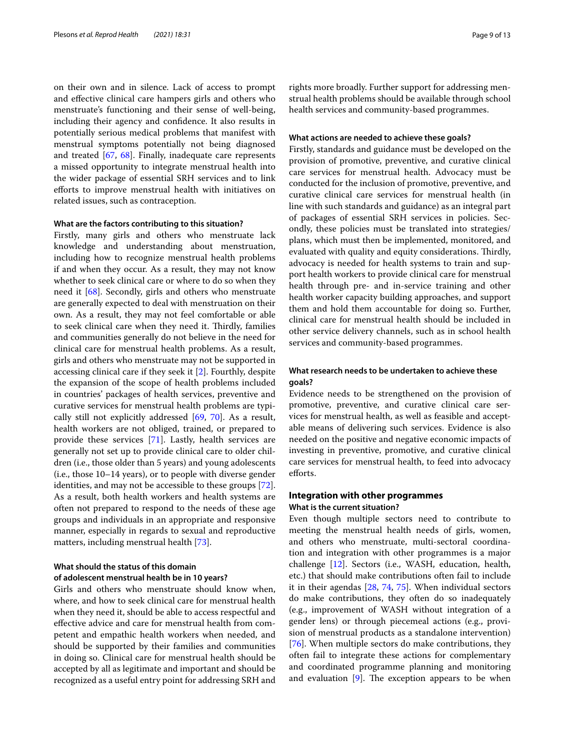on their own and in silence. Lack of access to prompt and efective clinical care hampers girls and others who menstruate's functioning and their sense of well-being, including their agency and confdence. It also results in potentially serious medical problems that manifest with menstrual symptoms potentially not being diagnosed and treated [\[67](#page-12-11), [68\]](#page-12-12). Finally, inadequate care represents a missed opportunity to integrate menstrual health into the wider package of essential SRH services and to link eforts to improve menstrual health with initiatives on related issues, such as contraception.

#### **What are the factors contributing to this situation?**

Firstly, many girls and others who menstruate lack knowledge and understanding about menstruation, including how to recognize menstrual health problems if and when they occur. As a result, they may not know whether to seek clinical care or where to do so when they need it [[68\]](#page-12-12). Secondly, girls and others who menstruate are generally expected to deal with menstruation on their own. As a result, they may not feel comfortable or able to seek clinical care when they need it. Thirdly, families and communities generally do not believe in the need for clinical care for menstrual health problems. As a result, girls and others who menstruate may not be supported in accessing clinical care if they seek it [\[2](#page-10-1)]. Fourthly, despite the expansion of the scope of health problems included in countries' packages of health services, preventive and curative services for menstrual health problems are typically still not explicitly addressed [[69](#page-12-13), [70\]](#page-12-14). As a result, health workers are not obliged, trained, or prepared to provide these services [\[71](#page-12-15)]. Lastly, health services are generally not set up to provide clinical care to older children (i.e., those older than 5 years) and young adolescents (i.e., those 10–14 years), or to people with diverse gender identities, and may not be accessible to these groups [\[72](#page-12-16)]. As a result, both health workers and health systems are often not prepared to respond to the needs of these age groups and individuals in an appropriate and responsive manner, especially in regards to sexual and reproductive matters, including menstrual health [[73\]](#page-12-17).

# **What should the status of this domain of adolescent menstrual health be in 10 years?**

Girls and others who menstruate should know when, where, and how to seek clinical care for menstrual health when they need it, should be able to access respectful and efective advice and care for menstrual health from competent and empathic health workers when needed, and should be supported by their families and communities in doing so. Clinical care for menstrual health should be accepted by all as legitimate and important and should be recognized as a useful entry point for addressing SRH and rights more broadly. Further support for addressing menstrual health problems should be available through school health services and community-based programmes.

# **What actions are needed to achieve these goals?**

Firstly, standards and guidance must be developed on the provision of promotive, preventive, and curative clinical care services for menstrual health. Advocacy must be conducted for the inclusion of promotive, preventive, and curative clinical care services for menstrual health (in line with such standards and guidance) as an integral part of packages of essential SRH services in policies. Secondly, these policies must be translated into strategies/ plans, which must then be implemented, monitored, and evaluated with quality and equity considerations. Thirdly, advocacy is needed for health systems to train and support health workers to provide clinical care for menstrual health through pre- and in-service training and other health worker capacity building approaches, and support them and hold them accountable for doing so. Further, clinical care for menstrual health should be included in other service delivery channels, such as in school health services and community-based programmes.

# **What research needs to be undertaken to achieve these goals?**

Evidence needs to be strengthened on the provision of promotive, preventive, and curative clinical care services for menstrual health, as well as feasible and acceptable means of delivering such services. Evidence is also needed on the positive and negative economic impacts of investing in preventive, promotive, and curative clinical care services for menstrual health, to feed into advocacy efforts.

# **Integration with other programmes What is the current situation?**

Even though multiple sectors need to contribute to meeting the menstrual health needs of girls, women, and others who menstruate, multi-sectoral coordination and integration with other programmes is a major challenge [\[12\]](#page-11-3). Sectors (i.e., WASH, education, health, etc.) that should make contributions often fail to include it in their agendas [\[28](#page-11-19), [74,](#page-12-18) [75](#page-12-19)]. When individual sectors do make contributions, they often do so inadequately (e.g., improvement of WASH without integration of a gender lens) or through piecemeal actions (e.g., provision of menstrual products as a standalone intervention) [[76\]](#page-12-20). When multiple sectors do make contributions, they often fail to integrate these actions for complementary and coordinated programme planning and monitoring and evaluation  $[9]$  $[9]$  $[9]$ . The exception appears to be when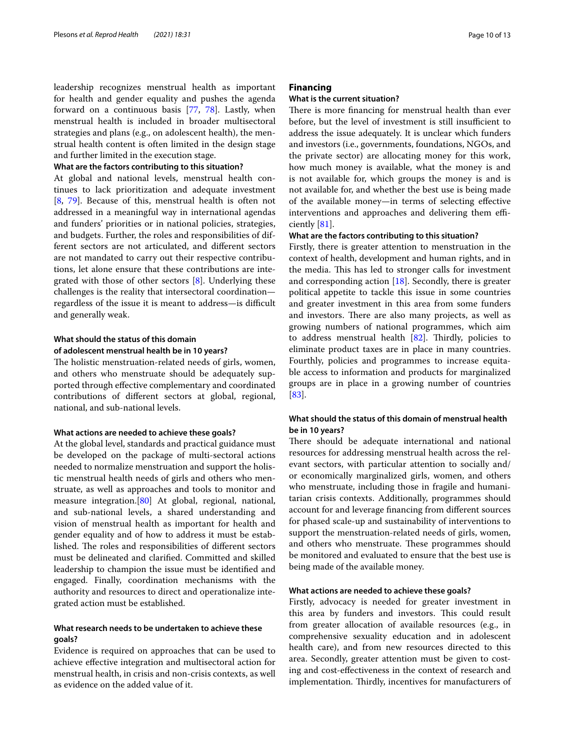leadership recognizes menstrual health as important for health and gender equality and pushes the agenda forward on a continuous basis [\[77](#page-12-21), [78](#page-12-22)]. Lastly, when menstrual health is included in broader multisectoral strategies and plans (e.g., on adolescent health), the menstrual health content is often limited in the design stage and further limited in the execution stage.

#### **What are the factors contributing to this situation?**

At global and national levels, menstrual health continues to lack prioritization and adequate investment [[8,](#page-11-0) [79](#page-12-23)]. Because of this, menstrual health is often not addressed in a meaningful way in international agendas and funders' priorities or in national policies, strategies, and budgets. Further, the roles and responsibilities of different sectors are not articulated, and diferent sectors are not mandated to carry out their respective contributions, let alone ensure that these contributions are integrated with those of other sectors [[8\]](#page-11-0). Underlying these challenges is the reality that intersectoral coordination regardless of the issue it is meant to address—is difficult and generally weak.

# **What should the status of this domain of adolescent menstrual health be in 10 years?**

The holistic menstruation-related needs of girls, women, and others who menstruate should be adequately supported through efective complementary and coordinated contributions of diferent sectors at global, regional, national, and sub-national levels.

#### **What actions are needed to achieve these goals?**

At the global level, standards and practical guidance must be developed on the package of multi-sectoral actions needed to normalize menstruation and support the holistic menstrual health needs of girls and others who menstruate, as well as approaches and tools to monitor and measure integration.[\[80](#page-12-24)] At global, regional, national, and sub-national levels, a shared understanding and vision of menstrual health as important for health and gender equality and of how to address it must be established. The roles and responsibilities of different sectors must be delineated and clarifed. Committed and skilled leadership to champion the issue must be identifed and engaged. Finally, coordination mechanisms with the authority and resources to direct and operationalize integrated action must be established.

# **What research needs to be undertaken to achieve these goals?**

Evidence is required on approaches that can be used to achieve efective integration and multisectoral action for menstrual health, in crisis and non-crisis contexts, as well as evidence on the added value of it.

# **Financing**

# **What is the current situation?**

There is more financing for menstrual health than ever before, but the level of investment is still insufficient to address the issue adequately. It is unclear which funders and investors (i.e., governments, foundations, NGOs, and the private sector) are allocating money for this work, how much money is available, what the money is and is not available for, which groups the money is and is not available for, and whether the best use is being made of the available money—in terms of selecting efective interventions and approaches and delivering them efficiently [\[81](#page-12-25)].

#### **What are the factors contributing to this situation?**

Firstly, there is greater attention to menstruation in the context of health, development and human rights, and in the media. This has led to stronger calls for investment and corresponding action  $[18]$  $[18]$  $[18]$ . Secondly, there is greater political appetite to tackle this issue in some countries and greater investment in this area from some funders and investors. There are also many projects, as well as growing numbers of national programmes, which aim to address menstrual health  $[82]$ . Thirdly, policies to eliminate product taxes are in place in many countries. Fourthly, policies and programmes to increase equitable access to information and products for marginalized groups are in place in a growing number of countries [[83\]](#page-12-27).

# **What should the status of this domain of menstrual health be in 10 years?**

There should be adequate international and national resources for addressing menstrual health across the relevant sectors, with particular attention to socially and/ or economically marginalized girls, women, and others who menstruate, including those in fragile and humanitarian crisis contexts. Additionally, programmes should account for and leverage fnancing from diferent sources for phased scale-up and sustainability of interventions to support the menstruation-related needs of girls, women, and others who menstruate. These programmes should be monitored and evaluated to ensure that the best use is being made of the available money.

#### **What actions are needed to achieve these goals?**

Firstly, advocacy is needed for greater investment in this area by funders and investors. This could result from greater allocation of available resources (e.g., in comprehensive sexuality education and in adolescent health care), and from new resources directed to this area. Secondly, greater attention must be given to costing and cost-efectiveness in the context of research and implementation. Thirdly, incentives for manufacturers of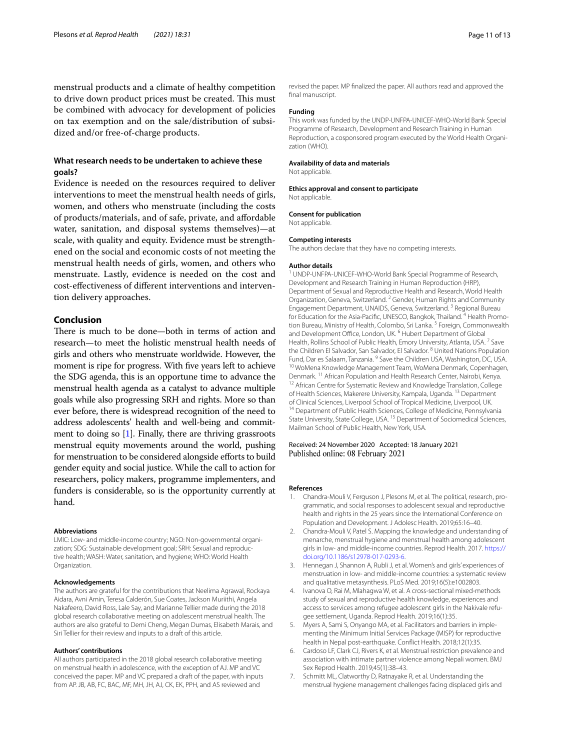menstrual products and a climate of healthy competition to drive down product prices must be created. This must be combined with advocacy for development of policies on tax exemption and on the sale/distribution of subsidized and/or free-of-charge products.

# **What research needs to be undertaken to achieve these goals?**

Evidence is needed on the resources required to deliver interventions to meet the menstrual health needs of girls, women, and others who menstruate (including the costs of products/materials, and of safe, private, and afordable water, sanitation, and disposal systems themselves)—at scale, with quality and equity. Evidence must be strengthened on the social and economic costs of not meeting the menstrual health needs of girls, women, and others who menstruate. Lastly, evidence is needed on the cost and cost-efectiveness of diferent interventions and intervention delivery approaches.

# **Conclusion**

There is much to be done—both in terms of action and research—to meet the holistic menstrual health needs of girls and others who menstruate worldwide. However, the moment is ripe for progress. With fve years left to achieve the SDG agenda, this is an opportune time to advance the menstrual health agenda as a catalyst to advance multiple goals while also progressing SRH and rights. More so than ever before, there is widespread recognition of the need to address adolescents' health and well-being and commitment to doing so [\[1](#page-10-0)]. Finally, there are thriving grassroots menstrual equity movements around the world, pushing for menstruation to be considered alongside efforts to build gender equity and social justice. While the call to action for researchers, policy makers, programme implementers, and funders is considerable, so is the opportunity currently at hand.

#### **Abbreviations**

LMIC: Low- and middle-income country; NGO: Non-governmental organization; SDG: Sustainable development goal; SRH: Sexual and reproductive health; WASH: Water, sanitation, and hygiene; WHO: World Health Organization.

#### **Acknowledgements**

The authors are grateful for the contributions that Neelima Agrawal, Rockaya Aidara, Avni Amin, Teresa Calderón, Sue Coates, Jackson Muriithi, Angela Nakafeero, David Ross, Lale Say, and Marianne Tellier made during the 2018 global research collaborative meeting on adolescent menstrual health. The authors are also grateful to Demi Cheng, Megan Dumas, Elisabeth Marais, and Siri Tellier for their review and inputs to a draft of this article.

#### **Authors' contributions**

All authors participated in the 2018 global research collaborative meeting on menstrual health in adolescence, with the exception of AJ. MP and VC conceived the paper. MP and VC prepared a draft of the paper, with inputs from AP. JB, AB, FC, BAC, MF, MH, JH, AJ, CK, EK, PPH, and AS reviewed and

revised the paper. MP fnalized the paper. All authors read and approved the final manuscript.

#### **Funding**

This work was funded by the UNDP-UNFPA-UNICEF-WHO-World Bank Special Programme of Research, Development and Research Training in Human Reproduction, a cosponsored program executed by the World Health Organization (WHO).

#### **Availability of data and materials**

Not applicable.

**Ethics approval and consent to participate** Not applicable.

#### **Consent for publication**

Not applicable.

#### **Competing interests**

The authors declare that they have no competing interests.

#### **Author details**

<sup>1</sup> UNDP-UNFPA-UNICEF-WHO-World Bank Special Programme of Research, Development and Research Training in Human Reproduction (HRP), Department of Sexual and Reproductive Health and Research, World Health Organization, Geneva, Switzerland. <sup>2</sup> Gender, Human Rights and Community Engagement Department, UNAIDS, Geneva, Switzerland. 3 Regional Bureau for Education for the Asia-Pacific, UNESCO, Bangkok, Thailand. <sup>4</sup> Health Promotion Bureau, Ministry of Health, Colombo, Sri Lanka. 5 Foreign, Commonwealth and Development Office, London, UK.<sup>6</sup> Hubert Department of Global Health, Rollins School of Public Health, Emory University, Atlanta, USA.<sup>7</sup> Save the Children El Salvador, San Salvador, El Salvador. <sup>8</sup> United Nations Population Fund, Dar es Salaam, Tanzania. <sup>9</sup> Save the Children USA, Washington, DC, USA.<br><sup>10</sup> WoMena Knowledge Management Team, WoMena Denmark, Copenhagen, Denmark. <sup>11</sup> African Population and Health Research Center, Nairobi, Kenya. <sup>12</sup> African Centre for Systematic Review and Knowledge Translation, College of Health Sciences, Makerere University, Kampala, Uganda. <sup>13</sup> Department<br>of Clinical Sciences, Liverpool School of Tropical Medicine, Liverpool, UK. <sup>14</sup> Department of Public Health Sciences, College of Medicine, Pennsylvania State University, State College, USA. 15 Department of Sociomedical Sciences, Mailman School of Public Health, New York, USA.

#### Received: 24 November 2020 Accepted: 18 January 2021 Published online: 08 February 2021

#### **References**

- <span id="page-10-0"></span>1. Chandra-Mouli V, Ferguson J, Plesons M, et al. The political, research, programmatic, and social responses to adolescent sexual and reproductive health and rights in the 25 years since the International Conference on Population and Development. J Adolesc Health. 2019;65:16–40.
- <span id="page-10-1"></span>2. Chandra-Mouli V, Patel S. Mapping the knowledge and understanding of menarche, menstrual hygiene and menstrual health among adolescent girls in low- and middle-income countries. Reprod Health. 2017. [https://](https://doi.org/10.1186/s12978-017-0293-6) [doi.org/10.1186/s12978-017-0293-6](https://doi.org/10.1186/s12978-017-0293-6).
- <span id="page-10-2"></span>3. Hennegan J, Shannon A, Rubli J, et al. Women's and girls' experiences of menstruation in low- and middle-income countries: a systematic review and qualitative metasynthesis. PLoS Med. 2019;16(5):e1002803.
- 4. Ivanova O, Rai M, Mlahagwa W, et al. A cross-sectional mixed-methods study of sexual and reproductive health knowledge, experiences and access to services among refugee adolescent girls in the Nakivale refugee settlement, Uganda. Reprod Health. 2019;16(1):35.
- 5. Myers A, Sami S, Onyango MA, et al. Facilitators and barriers in implementing the Minimum Initial Services Package (MISP) for reproductive health in Nepal post-earthquake. Confict Health. 2018;12(1):35.
- <span id="page-10-4"></span>6. Cardoso LF, Clark CJ, Rivers K, et al. Menstrual restriction prevalence and association with intimate partner violence among Nepali women. BMJ Sex Reprod Health. 2019;45(1):38–43.
- <span id="page-10-3"></span>7. Schmitt ML, Clatworthy D, Ratnayake R, et al. Understanding the menstrual hygiene management challenges facing displaced girls and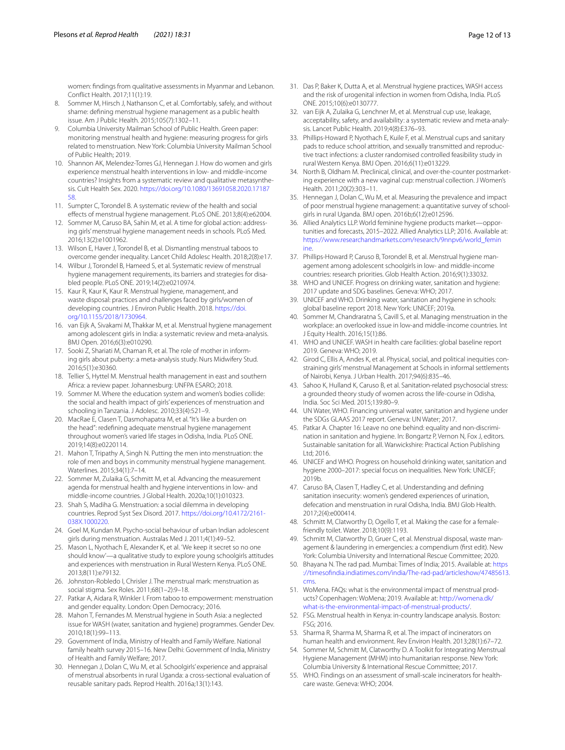women: fndings from qualitative assessments in Myanmar and Lebanon. Confict Health. 2017;11(1):19.

- <span id="page-11-0"></span>8. Sommer M, Hirsch J, Nathanson C, et al. Comfortably, safely, and without shame: defning menstrual hygiene management as a public health issue. Am J Public Health. 2015;105(7):1302–11.
- <span id="page-11-1"></span>9. Columbia University Mailman School of Public Health. Green paper: monitoring menstrual health and hygiene: measuring progress for girls related to menstruation. New York: Columbia University Mailman School of Public Health; 2019.
- <span id="page-11-2"></span>10. Shannon AK, Melendez-Torres GJ, Hennegan J. How do women and girls experience menstrual health interventions in low- and middle-income countries? Insights from a systematic review and qualitative metasynthesis. Cult Health Sex. 2020. [https://doi.org/10.1080/13691058.2020.17187](https://doi.org/10.1080/13691058.2020.1718758) [58](https://doi.org/10.1080/13691058.2020.1718758).
- 11. Sumpter C, Torondel B. A systematic review of the health and social efects of menstrual hygiene management. PLoS ONE. 2013;8(4):e62004.
- <span id="page-11-3"></span>12. Sommer M, Caruso BA, Sahin M, et al. A time for global action: addressing girls' menstrual hygiene management needs in schools. PLoS Med. 2016;13(2):e1001962.
- <span id="page-11-4"></span>13. Wilson E, Haver J, Torondel B, et al. Dismantling menstrual taboos to overcome gender inequality. Lancet Child Adolesc Health. 2018;2(8):e17.
- <span id="page-11-5"></span>14. Wilbur J, Torondel B, Hameed S, et al. Systematic review of menstrual hygiene management requirements, its barriers and strategies for disabled people. PLoS ONE. 2019;14(2):e0210974.
- <span id="page-11-6"></span>15. Kaur R, Kaur K, Kaur R. Menstrual hygiene, management, and waste disposal: practices and challenges faced by girls/women of developing countries. J Environ Public Health. 2018. [https://doi.](https://doi.org/10.1155/2018/1730964) [org/10.1155/2018/1730964](https://doi.org/10.1155/2018/1730964).
- <span id="page-11-7"></span>16. van Eijk A, Sivakami M, Thakkar M, et al. Menstrual hygiene management among adolescent girls in India: a systematic review and meta-analysis. BMJ Open. 2016;6(3):e010290.
- <span id="page-11-8"></span>17. Sooki Z, Shariati M, Chaman R, et al. The role of mother in informing girls about puberty: a meta-analysis study. Nurs Midwifery Stud. 2016;5(1):e30360.
- <span id="page-11-9"></span>18. Tellier S, Hyttel M. Menstrual health management in east and southern Africa: a review paper. Johannesburg: UNFPA ESARO; 2018.
- <span id="page-11-10"></span>19. Sommer M. Where the education system and women's bodies collide: the social and health impact of girls' experiences of menstruation and schooling in Tanzania. J Adolesc. 2010;33(4):521–9.
- <span id="page-11-11"></span>20. MacRae E, Clasen T, Dasmohapatra M, et al. "It's like a burden on the head": redefning adequate menstrual hygiene management throughout women's varied life stages in Odisha, India. PLoS ONE. 2019;14(8):e0220114.
- <span id="page-11-12"></span>21. Mahon T, Tripathy A, Singh N. Putting the men into menstruation: the role of men and boys in community menstrual hygiene management. Waterlines. 2015;34(1):7–14.
- <span id="page-11-13"></span>22. Sommer M, Zulaika G, Schmitt M, et al. Advancing the measurement agenda for menstrual health and hygiene interventions in low- and middle-income countries. J Global Health. 2020a;10(1):010323.
- <span id="page-11-14"></span>23. Shah S, Madiha G. Menstruation: a social dilemma in developing countries. Reprod Syst Sex Disord. 2017. [https://doi.org/10.4172/2161-](https://doi.org/10.4172/2161-038X.1000220)[038X.1000220.](https://doi.org/10.4172/2161-038X.1000220)
- <span id="page-11-15"></span>24. Goel M, Kundan M. Psycho-social behaviour of urban Indian adolescent girls during menstruation. Australas Med J. 2011;4(1):49–52.
- <span id="page-11-16"></span>25. Mason L, Nyothach E, Alexander K, et al. 'We keep it secret so no one should know'—a qualitative study to explore young schoolgirls attitudes and experiences with menstruation in Rural Western Kenya. PLoS ONE. 2013;8(11):e79132.
- <span id="page-11-17"></span>26. Johnston-Robledo I, Chrisler J. The menstrual mark: menstruation as social stigma. Sex Roles. 2011;68(1–2):9–18.
- <span id="page-11-18"></span>27. Patkar A, Aidara R, Winkler I. From taboo to empowerment: menstruation and gender equality. London: Open Democracy; 2016.
- <span id="page-11-19"></span>28. Mahon T, Fernandes M. Menstrual hygiene in South Asia: a neglected issue for WASH (water, sanitation and hygiene) programmes. Gender Dev. 2010;18(1):99–113.
- <span id="page-11-20"></span>29. Government of India, Ministry of Health and Family Welfare. National family health survey 2015–16. New Delhi: Government of India, Ministry of Health and Family Welfare; 2017.
- <span id="page-11-21"></span>30. Hennegan J, Dolan C, Wu M, et al. Schoolgirls' experience and appraisal of menstrual absorbents in rural Uganda: a cross-sectional evaluation of reusable sanitary pads. Reprod Health. 2016a;13(1):143.
- <span id="page-11-22"></span>31. Das P, Baker K, Dutta A, et al. Menstrual hygiene practices, WASH access and the risk of urogenital infection in women from Odisha, India. PLoS ONE. 2015;10(6):e0130777.
- <span id="page-11-23"></span>32. van Eijk A, Zulaika G, Lenchner M, et al. Menstrual cup use, leakage, acceptability, safety, and availability: a systematic review and meta-analysis. Lancet Public Health. 2019;4(8):E376–93.
- 33. Phillips-Howard P, Nyothach E, Kuile F, et al. Menstrual cups and sanitary pads to reduce school attrition, and sexually transmitted and reproductive tract infections: a cluster randomised controlled feasibility study in rural Western Kenya. BMJ Open. 2016;6(11):e013229.
- <span id="page-11-24"></span>34. North B, Oldham M. Preclinical, clinical, and over-the-counter postmarketing experience with a new vaginal cup: menstrual collection. J Women's Health. 2011;20(2):303–11.
- <span id="page-11-25"></span>35. Hennegan J, Dolan C, Wu M, et al. Measuring the prevalence and impact of poor menstrual hygiene management: a quantitative survey of schoolgirls in rural Uganda. BMJ open. 2016b;6(12):e012596.
- <span id="page-11-26"></span>36. Allied Analytics LLP. World feminine hygiene products market—opportunities and forecasts, 2015–2022. Allied Analytics LLP; 2016. Available at: [https://www.researchandmarkets.com/research/9nnpv6/world\\_femin](https://www.researchandmarkets.com/research/9nnpv6/world_feminine) [ine.](https://www.researchandmarkets.com/research/9nnpv6/world_feminine)
- <span id="page-11-27"></span>37. Phillips-Howard P, Caruso B, Torondel B, et al. Menstrual hygiene management among adolescent schoolgirls in low- and middle-income countries: research priorities. Glob Health Action. 2016;9(1):33032.
- <span id="page-11-28"></span>38. WHO and UNICEF. Progress on drinking water, sanitation and hygiene: 2017 update and SDG baselines. Geneva: WHO; 2017.
- 39. UNICEF and WHO. Drinking water, sanitation and hygiene in schools: global baseline report 2018. New York: UNICEF; 2019a.
- 40. Sommer M, Chandraratna S, Cavill S, et al. Managing menstruation in the workplace: an overlooked issue in low-and middle-income countries. Int J Equity Health. 2016;15(1):86.
- <span id="page-11-29"></span>41. WHO and UNICEF. WASH in health care facilities: global baseline report 2019. Geneva: WHO; 2019.
- <span id="page-11-30"></span>42. Girod C, Ellis A, Andes K, et al. Physical, social, and political inequities constraining girls' menstrual Management at Schools in informal settlements of Nairobi, Kenya. J Urban Health. 2017;94(6):835–46.
- <span id="page-11-31"></span>43. Sahoo K, Hulland K, Caruso B, et al. Sanitation-related psychosocial stress: a grounded theory study of women across the life-course in Odisha, India. Soc Sci Med. 2015;139:80–9.
- <span id="page-11-32"></span>44. UN Water, WHO. Financing universal water, sanitation and hygiene under the SDGs GLAAS 2017 report. Geneva: UN Water; 2017.
- <span id="page-11-33"></span>45. Patkar A. Chapter 16: Leave no one behind: equality and non-discrimination in sanitation and hygiene. In: Bongartz P, Vernon N, Fox J, editors. Sustainable sanitation for all. Warwickshire: Practical Action Publishing Ltd; 2016.
- 46. UNICEF and WHO. Progress on household drinking water, sanitation and hygiene 2000–2017: special focus on inequalities. New York: UNICEF; 2019b.
- 47. Caruso BA, Clasen T, Hadley C, et al. Understanding and defning sanitation insecurity: women's gendered experiences of urination, defecation and menstruation in rural Odisha, India. BMJ Glob Health. 2017;2(4):e000414.
- <span id="page-11-34"></span>48. Schmitt M, Clatworthy D, Ogello T, et al. Making the case for a femalefriendly toilet. Water. 2018;10(9):1193.
- <span id="page-11-37"></span>49. Schmitt M, Clatworthy D, Gruer C, et al. Menstrual disposal, waste management & laundering in emergencies: a compendium (frst edit). New York: Columbia University and International Rescue Committee; 2020.
- <span id="page-11-35"></span>50. Bhayana N. The rad pad. Mumbai: Times of India; 2015. Available at: [https](https://timesofindia.indiatimes.com/india/The-rad-pad/articleshow/47485613.cms) [://timesofndia.indiatimes.com/india/The-rad-pad/articleshow/47485613.](https://timesofindia.indiatimes.com/india/The-rad-pad/articleshow/47485613.cms) [cms.](https://timesofindia.indiatimes.com/india/The-rad-pad/articleshow/47485613.cms)
- <span id="page-11-36"></span>51. WoMena. FAQs: what is the environmental impact of menstrual products? Copenhagen: WoMena; 2019. Available at: [http://womena.dk/](http://womena.dk/what-is-the-environmental-impact-of-menstrual-products/) [what-is-the-environmental-impact-of-menstrual-products/.](http://womena.dk/what-is-the-environmental-impact-of-menstrual-products/)
- <span id="page-11-38"></span>52. FSG. Menstrual health in Kenya: in-country landscape analysis. Boston: FSG; 2016.
- <span id="page-11-39"></span>53. Sharma R, Sharma M, Sharma R, et al. The impact of incinerators on human health and environment. Rev Environ Health. 2013;28(1):67–72.
- <span id="page-11-40"></span>54. Sommer M, Schmitt M, Clatworthy D. A Toolkit for Integrating Menstrual Hygiene Management (MHM) into humanitarian response. New York: Columbia University & International Rescue Committee; 2017.
- 55. WHO. Findings on an assessment of small-scale incinerators for healthcare waste. Geneva: WHO; 2004.